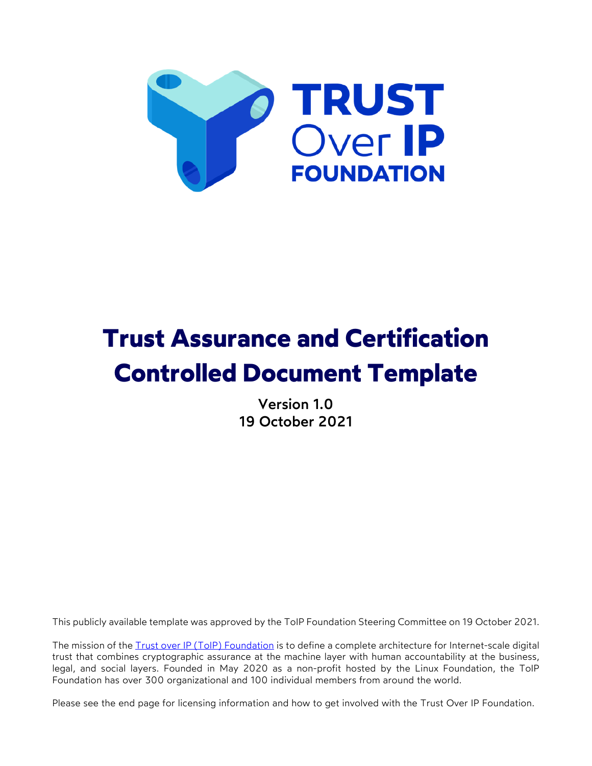

# **Trust Assurance and Certification Controlled Document Template**

Version 1.0 19 October 2021

This publicly available template was approved by the ToIP Foundation Steering Committee on 19 October 2021.

The mission of the Trust over IP (ToIP) Foundation is to define a complete architecture for Internet-scale digital trust that combines cryptographic assurance at the machine layer with human accountability at the business, legal, and social layers. Founded in May 2020 as a non-profit hosted by the Linux Foundation, the ToIP Foundation has over 300 organizational and 100 individual members from around the world.

Please see the end page for licensing information and how to get involved with the Trust Over IP Foundation.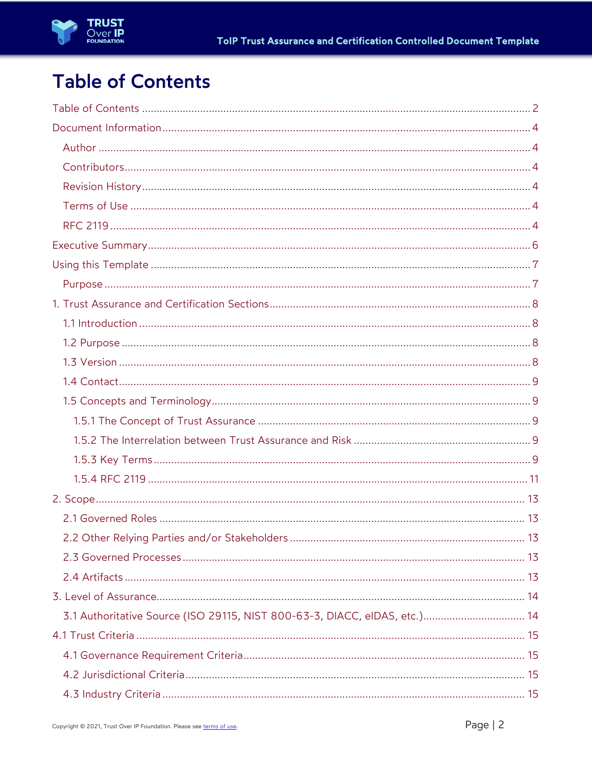## **Table of Contents**

| 3.1 Authoritative Source (ISO 29115, NIST 800-63-3, DIACC, eIDAS, etc.) 14 |
|----------------------------------------------------------------------------|
|                                                                            |
|                                                                            |
|                                                                            |
|                                                                            |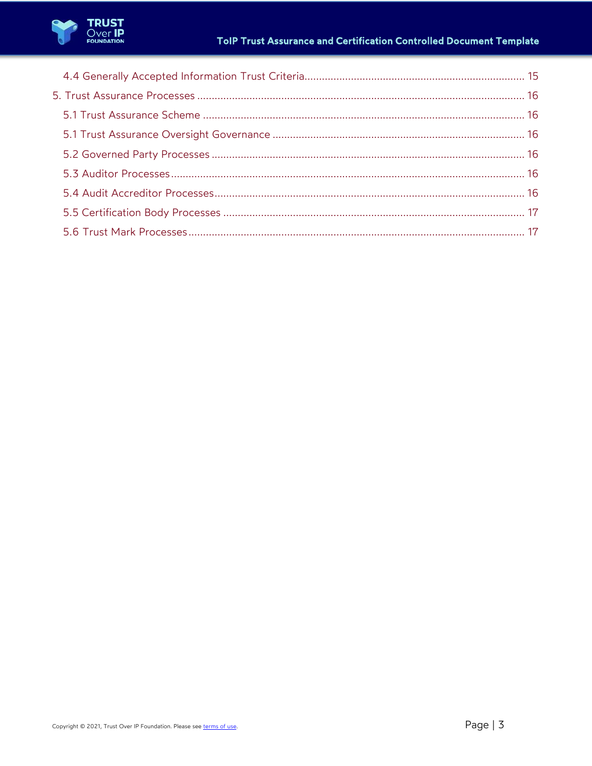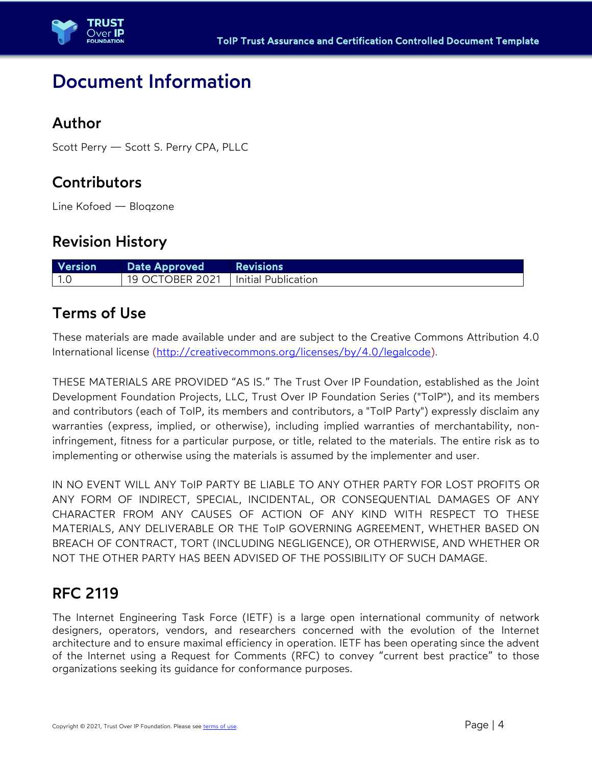

### Document Information

### Author

Scott Perry — Scott S. Perry CPA, PLLC

### **Contributors**

Line Kofoed — Bloqzone

### Revision History

| <b>Version</b> | Date Approved                           | <b>Exercises</b> Revisions |
|----------------|-----------------------------------------|----------------------------|
| $\vert$ 1.0    | . 19 OCTOBER 2021   Initial Publication |                            |

### Terms of Use

These materials are made available under and are subject to the Creative Commons Attribution 4.0 International license (http://creativecommons.org/licenses/by/4.0/legalcode).

THESE MATERIALS ARE PROVIDED "AS IS." The Trust Over IP Foundation, established as the Joint Development Foundation Projects, LLC, Trust Over IP Foundation Series ("ToIP"), and its members and contributors (each of ToIP, its members and contributors, a "ToIP Party") expressly disclaim any warranties (express, implied, or otherwise), including implied warranties of merchantability, noninfringement, fitness for a particular purpose, or title, related to the materials. The entire risk as to implementing or otherwise using the materials is assumed by the implementer and user.

IN NO EVENT WILL ANY ToIP PARTY BE LIABLE TO ANY OTHER PARTY FOR LOST PROFITS OR ANY FORM OF INDIRECT, SPECIAL, INCIDENTAL, OR CONSEQUENTIAL DAMAGES OF ANY CHARACTER FROM ANY CAUSES OF ACTION OF ANY KIND WITH RESPECT TO THESE MATERIALS, ANY DELIVERABLE OR THE ToIP GOVERNING AGREEMENT, WHETHER BASED ON BREACH OF CONTRACT, TORT (INCLUDING NEGLIGENCE), OR OTHERWISE, AND WHETHER OR NOT THE OTHER PARTY HAS BEEN ADVISED OF THE POSSIBILITY OF SUCH DAMAGE.

### RFC 2119

The Internet Engineering Task Force (IETF) is a large open international community of network designers, operators, vendors, and researchers concerned with the evolution of the Internet architecture and to ensure maximal efficiency in operation. IETF has been operating since the advent of the Internet using a Request for Comments (RFC) to convey "current best practice" to those organizations seeking its guidance for conformance purposes.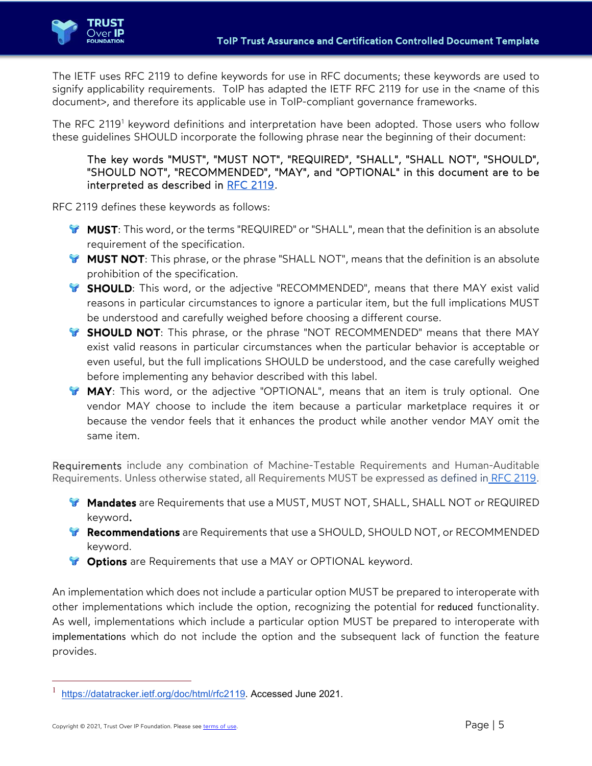

The IETF uses RFC 2119 to define keywords for use in RFC documents; these keywords are used to signify applicability requirements. ToIP has adapted the IETF RFC 2119 for use in the <name of this document>, and therefore its applicable use in ToIP-compliant governance frameworks.

The RFC 2119<sup>1</sup> keyword definitions and interpretation have been adopted. Those users who follow these guidelines SHOULD incorporate the following phrase near the beginning of their document:

#### The key words "MUST", "MUST NOT", "REQUIRED", "SHALL", "SHALL NOT", "SHOULD", "SHOULD NOT", "RECOMMENDED", "MAY", and "OPTIONAL" in this document are to be interpreted as described in RFC 2119.

RFC 2119 defines these keywords as follows:

- **MUST**: This word, or the terms "REQUIRED" or "SHALL", mean that the definition is an absolute requirement of the specification.
- **MUST NOT:** This phrase, or the phrase "SHALL NOT", means that the definition is an absolute prohibition of the specification.
- **SHOULD**: This word, or the adjective "RECOMMENDED", means that there MAY exist valid reasons in particular circumstances to ignore a particular item, but the full implications MUST be understood and carefully weighed before choosing a different course.
- **SHOULD NOT:** This phrase, or the phrase "NOT RECOMMENDED" means that there MAY exist valid reasons in particular circumstances when the particular behavior is acceptable or even useful, but the full implications SHOULD be understood, and the case carefully weighed before implementing any behavior described with this label.
- **MAY**: This word, or the adjective "OPTIONAL", means that an item is truly optional. One vendor MAY choose to include the item because a particular marketplace requires it or because the vendor feels that it enhances the product while another vendor MAY omit the same item.

Requirements include any combination of Machine-Testable Requirements and Human-Auditable Requirements. Unless otherwise stated, all Requirements MUST be expressed as defined in RFC 2119.

- **Mandates** are Requirements that use a MUST, MUST NOT, SHALL, SHALL NOT or REQUIRED keyword.
- **Recommendations** are Requirements that use a SHOULD, SHOULD NOT, or RECOMMENDED keyword.
- **T** Options are Requirements that use a MAY or OPTIONAL keyword.

An implementation which does not include a particular option MUST be prepared to interoperate with other implementations which include the option, recognizing the potential for reduced functionality. As well, implementations which include a particular option MUST be prepared to interoperate with implementations which do not include the option and the subsequent lack of function the feature provides.

<sup>1</sup> https://datatracker.ietf.org/doc/html/rfc2119. Accessed June 2021.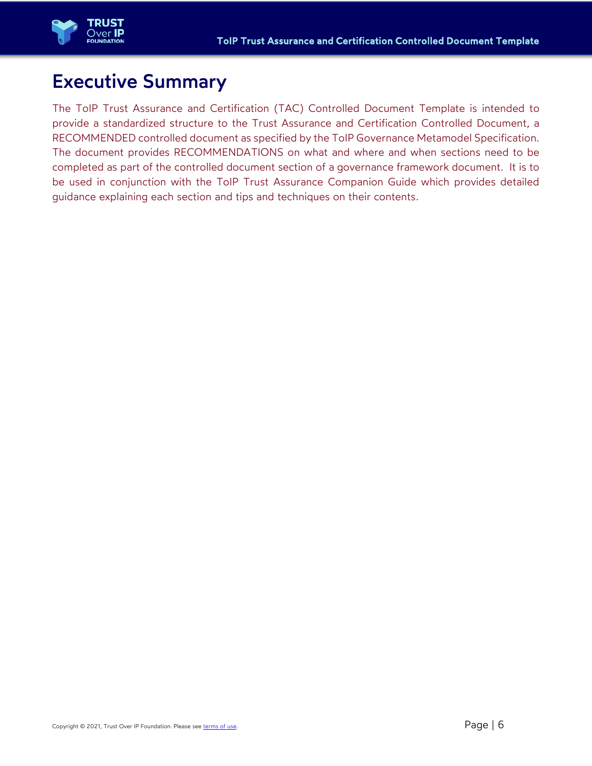

## Executive Summary

The ToIP Trust Assurance and Certification (TAC) Controlled Document Template is intended to provide a standardized structure to the Trust Assurance and Certification Controlled Document, a RECOMMENDED controlled document as specified by the ToIP Governance Metamodel Specification. The document provides RECOMMENDATIONS on what and where and when sections need to be completed as part of the controlled document section of a governance framework document. It is to be used in conjunction with the ToIP Trust Assurance Companion Guide which provides detailed guidance explaining each section and tips and techniques on their contents.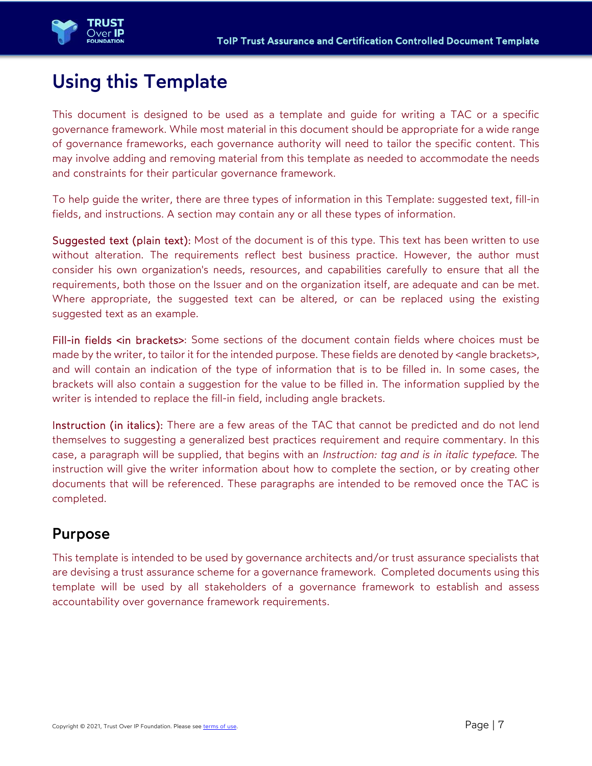

## Using this Template

This document is designed to be used as a template and guide for writing a TAC or a specific governance framework. While most material in this document should be appropriate for a wide range of governance frameworks, each governance authority will need to tailor the specific content. This may involve adding and removing material from this template as needed to accommodate the needs and constraints for their particular governance framework.

To help guide the writer, there are three types of information in this Template: suggested text, fill-in fields, and instructions. A section may contain any or all these types of information.

Suggested text (plain text): Most of the document is of this type. This text has been written to use without alteration. The requirements reflect best business practice. However, the author must consider his own organization's needs, resources, and capabilities carefully to ensure that all the requirements, both those on the Issuer and on the organization itself, are adequate and can be met. Where appropriate, the suggested text can be altered, or can be replaced using the existing suggested text as an example.

Fill-in fields <in brackets>: Some sections of the document contain fields where choices must be made by the writer, to tailor it for the intended purpose. These fields are denoted by <angle brackets>, and will contain an indication of the type of information that is to be filled in. In some cases, the brackets will also contain a suggestion for the value to be filled in. The information supplied by the writer is intended to replace the fill-in field, including angle brackets.

Instruction (in italics): There are a few areas of the TAC that cannot be predicted and do not lend themselves to suggesting a generalized best practices requirement and require commentary. In this case, a paragraph will be supplied, that begins with an *Instruction: tag and is in italic typeface.* The instruction will give the writer information about how to complete the section, or by creating other documents that will be referenced. These paragraphs are intended to be removed once the TAC is completed.

### Purpose

This template is intended to be used by governance architects and/or trust assurance specialists that are devising a trust assurance scheme for a governance framework. Completed documents using this template will be used by all stakeholders of a governance framework to establish and assess accountability over governance framework requirements.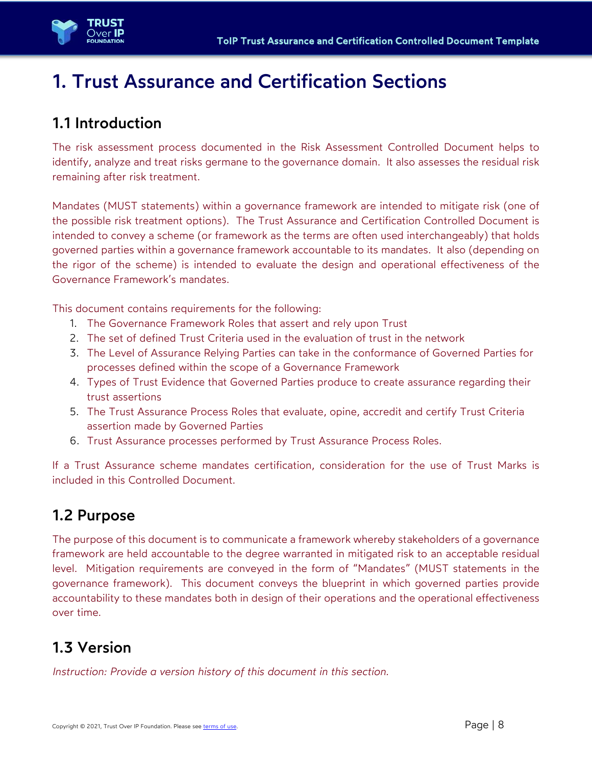

## 1. Trust Assurance and Certification Sections

### 1.1 Introduction

The risk assessment process documented in the Risk Assessment Controlled Document helps to identify, analyze and treat risks germane to the governance domain. It also assesses the residual risk remaining after risk treatment.

Mandates (MUST statements) within a governance framework are intended to mitigate risk (one of the possible risk treatment options). The Trust Assurance and Certification Controlled Document is intended to convey a scheme (or framework as the terms are often used interchangeably) that holds governed parties within a governance framework accountable to its mandates. It also (depending on the rigor of the scheme) is intended to evaluate the design and operational effectiveness of the Governance Framework's mandates.

This document contains requirements for the following:

- 1. The Governance Framework Roles that assert and rely upon Trust
- 2. The set of defined Trust Criteria used in the evaluation of trust in the network
- 3. The Level of Assurance Relying Parties can take in the conformance of Governed Parties for processes defined within the scope of a Governance Framework
- 4. Types of Trust Evidence that Governed Parties produce to create assurance regarding their trust assertions
- 5. The Trust Assurance Process Roles that evaluate, opine, accredit and certify Trust Criteria assertion made by Governed Parties
- 6. Trust Assurance processes performed by Trust Assurance Process Roles.

If a Trust Assurance scheme mandates certification, consideration for the use of Trust Marks is included in this Controlled Document.

### 1.2 Purpose

The purpose of this document is to communicate a framework whereby stakeholders of a governance framework are held accountable to the degree warranted in mitigated risk to an acceptable residual level. Mitigation requirements are conveyed in the form of "Mandates" (MUST statements in the governance framework). This document conveys the blueprint in which governed parties provide accountability to these mandates both in design of their operations and the operational effectiveness over time.

### 1.3 Version

*Instruction: Provide a version history of this document in this section.*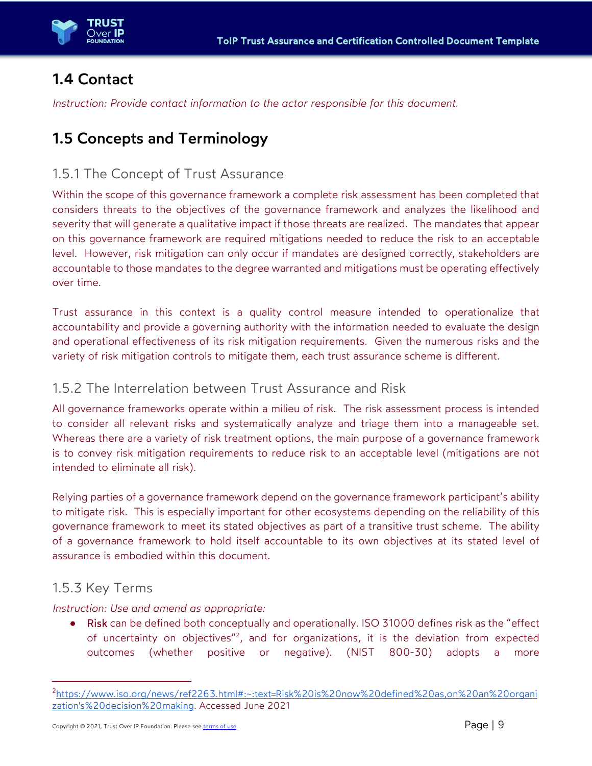

### 1.4 Contact

*Instruction: Provide contact information to the actor responsible for this document.* 

### 1.5 Concepts and Terminology

#### 1.5.1 The Concept of Trust Assurance

Within the scope of this governance framework a complete risk assessment has been completed that considers threats to the objectives of the governance framework and analyzes the likelihood and severity that will generate a qualitative impact if those threats are realized. The mandates that appear on this governance framework are required mitigations needed to reduce the risk to an acceptable level. However, risk mitigation can only occur if mandates are designed correctly, stakeholders are accountable to those mandates to the degree warranted and mitigations must be operating effectively over time.

Trust assurance in this context is a quality control measure intended to operationalize that accountability and provide a governing authority with the information needed to evaluate the design and operational effectiveness of its risk mitigation requirements. Given the numerous risks and the variety of risk mitigation controls to mitigate them, each trust assurance scheme is different.

#### 1.5.2 The Interrelation between Trust Assurance and Risk

All governance frameworks operate within a milieu of risk. The risk assessment process is intended to consider all relevant risks and systematically analyze and triage them into a manageable set. Whereas there are a variety of risk treatment options, the main purpose of a governance framework is to convey risk mitigation requirements to reduce risk to an acceptable level (mitigations are not intended to eliminate all risk).

Relying parties of a governance framework depend on the governance framework participant's ability to mitigate risk. This is especially important for other ecosystems depending on the reliability of this governance framework to meet its stated objectives as part of a transitive trust scheme. The ability of a governance framework to hold itself accountable to its own objectives at its stated level of assurance is embodied within this document.

#### 1.5.3 Key Terms

#### *Instruction: Use and amend as appropriate:*

Risk can be defined both conceptually and operationally. ISO 31000 defines risk as the "effect of uncertainty on objectives"<sup>2</sup>, and for organizations, it is the deviation from expected outcomes (whether positive or negative). (NIST 800-30) adopts a more

<sup>2</sup>https://www.iso.org/news/ref2263.html#:~:text=Risk%20is%20now%20defined%20as,on%20an%20organi zation's%20decision%20making. Accessed June 2021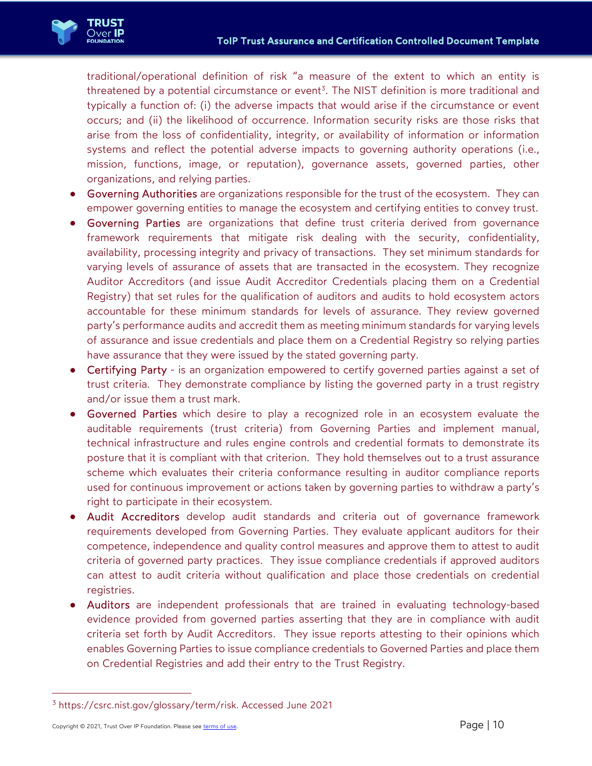

traditional/operational definition of risk "a measure of the extent to which an entity is threatened by a potential circumstance or event<sup>3</sup>. The NIST definition is more traditional and typically a function of: (i) the adverse impacts that would arise if the circumstance or event occurs; and (ii) the likelihood of occurrence. Information security risks are those risks that arise from the loss of confidentiality, integrity, or availability of information or information systems and reflect the potential adverse impacts to governing authority operations (i.e., mission, functions, image, or reputation), governance assets, governed parties, other organizations, and relying parties.

- Governing Authorities are organizations responsible for the trust of the ecosystem. They can empower governing entities to manage the ecosystem and certifying entities to convey trust.
- Governing Parties are organizations that define trust criteria derived from governance framework requirements that mitigate risk dealing with the security, confidentiality, availability, processing integrity and privacy of transactions. They set minimum standards for varying levels of assurance of assets that are transacted in the ecosystem. They recognize Auditor Accreditors (and issue Audit Accreditor Credentials placing them on a Credential Registry) that set rules for the qualification of auditors and audits to hold ecosystem actors accountable for these minimum standards for levels of assurance. They review governed party's performance audits and accredit them as meeting minimum standards for varying levels of assurance and issue credentials and place them on a Credential Registry so relying parties have assurance that they were issued by the stated governing party.
- Certifying Party is an organization empowered to certify governed parties against a set of trust criteria. They demonstrate compliance by listing the governed party in a trust registry and/or issue them a trust mark.
- Governed Parties which desire to play a recognized role in an ecosystem evaluate the auditable requirements (trust criteria) from Governing Parties and implement manual, technical infrastructure and rules engine controls and credential formats to demonstrate its posture that it is compliant with that criterion. They hold themselves out to a trust assurance scheme which evaluates their criteria conformance resulting in auditor compliance reports used for continuous improvement or actions taken by governing parties to withdraw a party's right to participate in their ecosystem.
- Audit Accreditors develop audit standards and criteria out of governance framework requirements developed from Governing Parties. They evaluate applicant auditors for their competence, independence and quality control measures and approve them to attest to audit criteria of governed party practices. They issue compliance credentials if approved auditors can attest to audit criteria without qualification and place those credentials on credential registries.
- Auditors are independent professionals that are trained in evaluating technology-based evidence provided from governed parties asserting that they are in compliance with audit criteria set forth by Audit Accreditors. They issue reports attesting to their opinions which enables Governing Parties to issue compliance credentials to Governed Parties and place them on Credential Registries and add their entry to the Trust Registry.

<sup>3</sup> https://csrc.nist.gov/glossary/term/risk. Accessed June 2021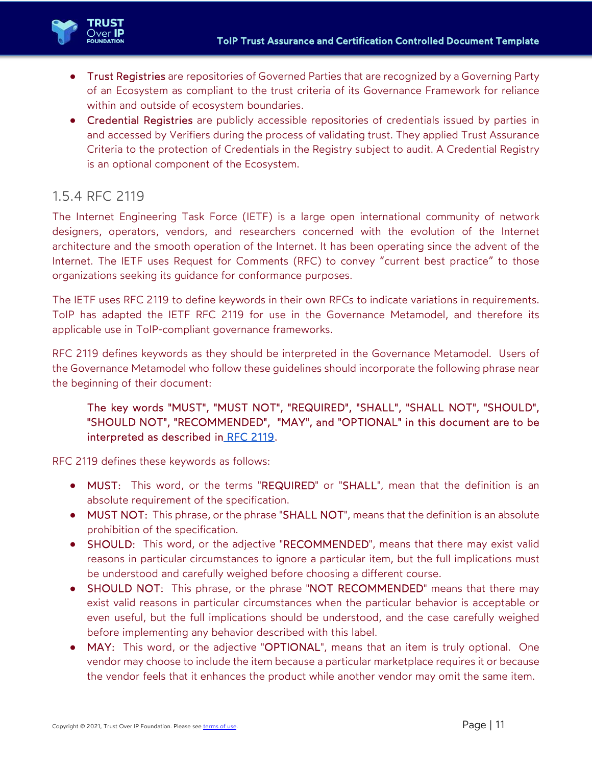

- Trust Registries are repositories of Governed Parties that are recognized by a Governing Party of an Ecosystem as compliant to the trust criteria of its Governance Framework for reliance within and outside of ecosystem boundaries.
- Credential Registries are publicly accessible repositories of credentials issued by parties in and accessed by Verifiers during the process of validating trust. They applied Trust Assurance Criteria to the protection of Credentials in the Registry subject to audit. A Credential Registry is an optional component of the Ecosystem.

#### 1.5.4 RFC 2119

The Internet Engineering Task Force (IETF) is a large open international community of network designers, operators, vendors, and researchers concerned with the evolution of the Internet architecture and the smooth operation of the Internet. It has been operating since the advent of the Internet. The IETF uses Request for Comments (RFC) to convey "current best practice" to those organizations seeking its guidance for conformance purposes.

The IETF uses RFC 2119 to define keywords in their own RFCs to indicate variations in requirements. ToIP has adapted the IETF RFC 2119 for use in the Governance Metamodel, and therefore its applicable use in ToIP-compliant governance frameworks.

RFC 2119 defines keywords as they should be interpreted in the Governance Metamodel. Users of the Governance Metamodel who follow these guidelines should incorporate the following phrase near the beginning of their document:

#### The key words "MUST", "MUST NOT", "REQUIRED", "SHALL", "SHALL NOT", "SHOULD", "SHOULD NOT", "RECOMMENDED", "MAY", and "OPTIONAL" in this document are to be interpreted as described in RFC 2119.

RFC 2119 defines these keywords as follows:

- MUST: This word, or the terms "REQUIRED" or "SHALL", mean that the definition is an absolute requirement of the specification.
- MUST NOT: This phrase, or the phrase "SHALL NOT", means that the definition is an absolute prohibition of the specification.
- SHOULD: This word, or the adjective "RECOMMENDED", means that there may exist valid reasons in particular circumstances to ignore a particular item, but the full implications must be understood and carefully weighed before choosing a different course.
- SHOULD NOT: This phrase, or the phrase "NOT RECOMMENDED" means that there may exist valid reasons in particular circumstances when the particular behavior is acceptable or even useful, but the full implications should be understood, and the case carefully weighed before implementing any behavior described with this label.
- MAY: This word, or the adjective "OPTIONAL", means that an item is truly optional. One vendor may choose to include the item because a particular marketplace requires it or because the vendor feels that it enhances the product while another vendor may omit the same item.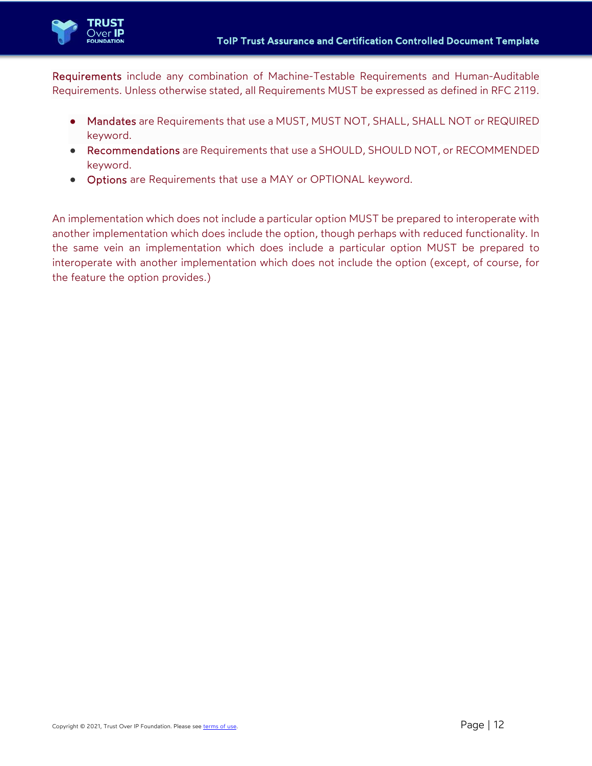

Requirements include any combination of Machine-Testable Requirements and Human-Auditable Requirements. Unless otherwise stated, all Requirements MUST be expressed as defined in RFC 2119.

- Mandates are Requirements that use a MUST, MUST NOT, SHALL, SHALL NOT or REQUIRED keyword.
- Recommendations are Requirements that use a SHOULD, SHOULD NOT, or RECOMMENDED keyword.
- Options are Requirements that use a MAY or OPTIONAL keyword.

An implementation which does not include a particular option MUST be prepared to interoperate with another implementation which does include the option, though perhaps with reduced functionality. In the same vein an implementation which does include a particular option MUST be prepared to interoperate with another implementation which does not include the option (except, of course, for the feature the option provides.)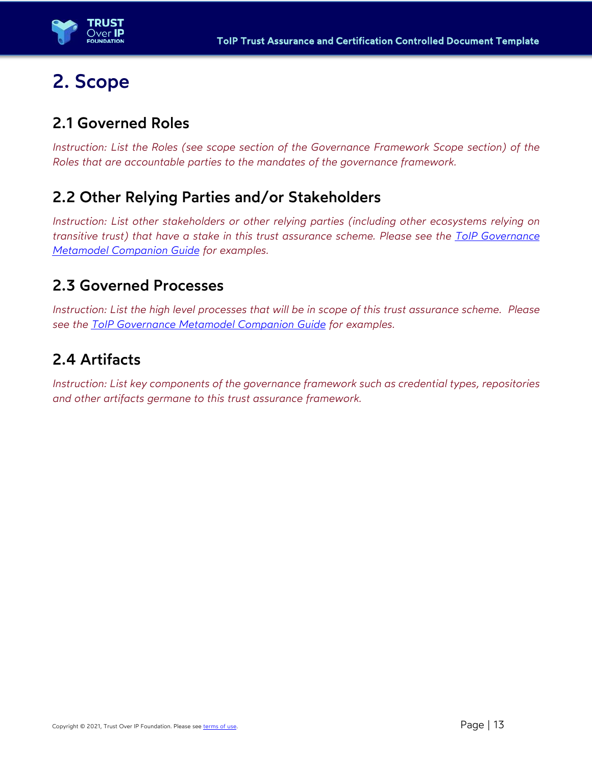

## 2. Scope

### 2.1 Governed Roles

*Instruction: List the Roles (see scope section of the Governance Framework Scope section) of the Roles that are accountable parties to the mandates of the governance framework.* 

### 2.2 Other Relying Parties and/or Stakeholders

*Instruction: List other stakeholders or other relying parties (including other ecosystems relying on transitive trust) that have a stake in this trust assurance scheme. Please see the ToIP Governance Metamodel Companion Guide for examples.* 

### 2.3 Governed Processes

*Instruction: List the high level processes that will be in scope of this trust assurance scheme. Please see the ToIP Governance Metamodel Companion Guide for examples.* 

### 2.4 Artifacts

*Instruction: List key components of the governance framework such as credential types, repositories and other artifacts germane to this trust assurance framework.*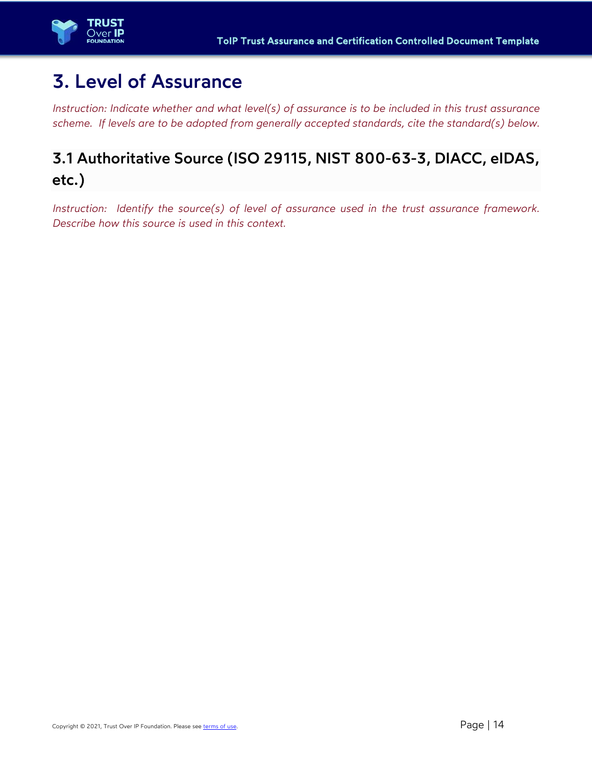

## 3. Level of Assurance

*Instruction: Indicate whether and what level(s) of assurance is to be included in this trust assurance scheme. If levels are to be adopted from generally accepted standards, cite the standard(s) below.* 

### 3.1 Authoritative Source (ISO 29115, NIST 800-63-3, DIACC, eIDAS, etc.)

*Instruction: Identify the source(s) of level of assurance used in the trust assurance framework. Describe how this source is used in this context.*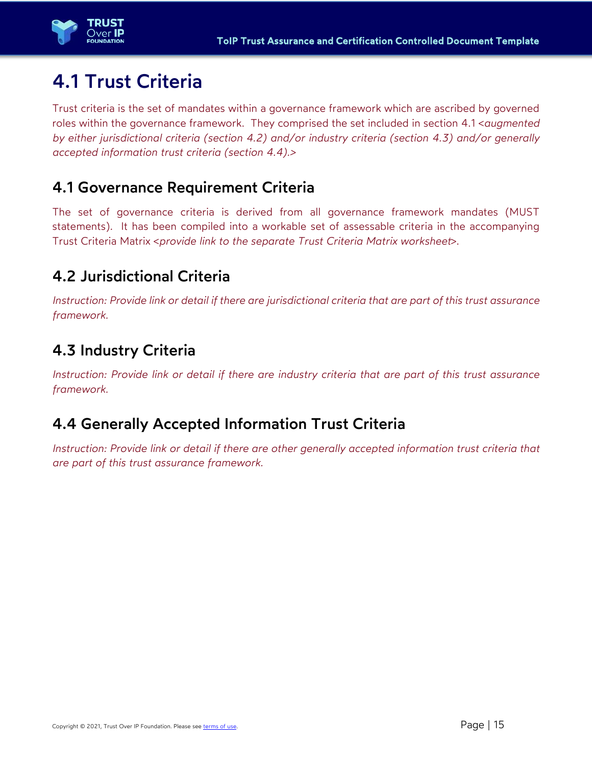

## 4.1 Trust Criteria

Trust criteria is the set of mandates within a governance framework which are ascribed by governed roles within the governance framework. They comprised the set included in section 4.1 <*augmented by either jurisdictional criteria (section 4.2) and/or industry criteria (section 4.3) and/or generally accepted information trust criteria (section 4.4).>*

### 4.1 Governance Requirement Criteria

The set of governance criteria is derived from all governance framework mandates (MUST statements). It has been compiled into a workable set of assessable criteria in the accompanying Trust Criteria Matrix <*provide link to the separate Trust Criteria Matrix worksheet*>.

### 4.2 Jurisdictional Criteria

*Instruction: Provide link or detail if there are jurisdictional criteria that are part of this trust assurance framework.* 

### 4.3 Industry Criteria

*Instruction: Provide link or detail if there are industry criteria that are part of this trust assurance framework.* 

### 4.4 Generally Accepted Information Trust Criteria

*Instruction: Provide link or detail if there are other generally accepted information trust criteria that are part of this trust assurance framework.*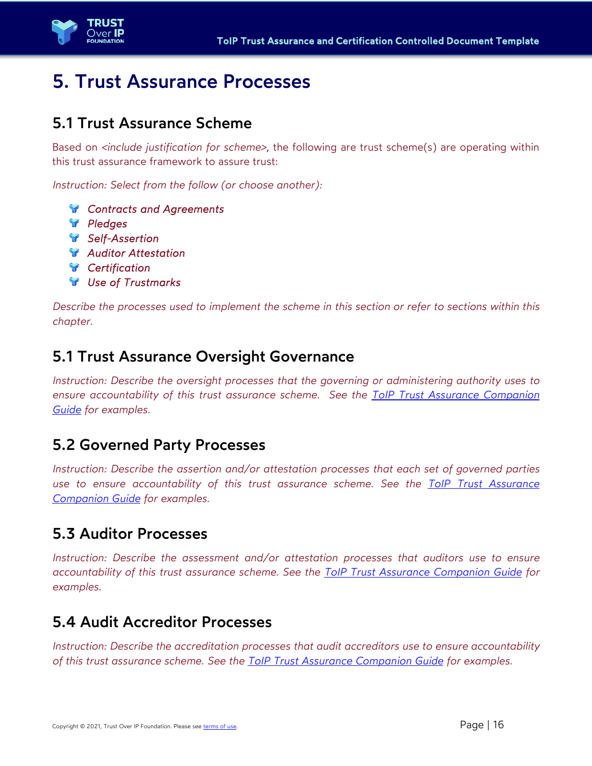

## 5. Trust Assurance Processes

### 5.1 Trust Assurance Scheme

Based on *<include justification for scheme>*, the following are trust scheme(s) are operating within this trust assurance framework to assure trust:

*Instruction: Select from the follow (or choose another):* 

- *Contracts and Agreements*
- *Pledges*
- *Self-Assertion*
- *Auditor Attestation*
- *Certification*
- *Use of Trustmarks*

*Describe the processes used to implement the scheme in this section or refer to sections within this chapter.* 

### 5.1 Trust Assurance Oversight Governance

*Instruction: Describe the oversight processes that the governing or administering authority uses to ensure accountability of this trust assurance scheme. See the ToIP Trust Assurance Companion Guide for examples.* 

### 5.2 Governed Party Processes

*Instruction: Describe the assertion and/or attestation processes that each set of governed parties use to ensure accountability of this trust assurance scheme. See the ToIP Trust Assurance Companion Guide for examples.* 

### 5.3 Auditor Processes

*Instruction: Describe the assessment and/or attestation processes that auditors use to ensure accountability of this trust assurance scheme. See the ToIP Trust Assurance Companion Guide for examples.* 

### 5.4 Audit Accreditor Processes

*Instruction: Describe the accreditation processes that audit accreditors use to ensure accountability of this trust assurance scheme. See the ToIP Trust Assurance Companion Guide for examples.*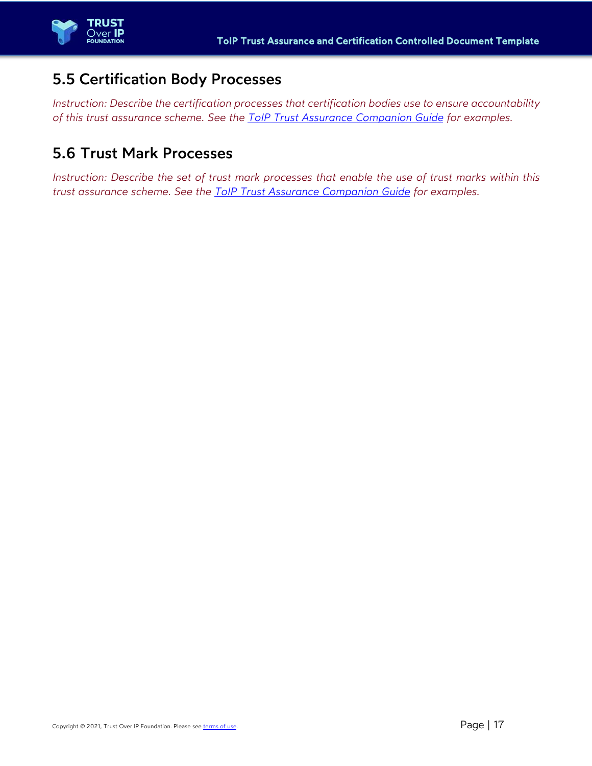### 5.5 Certification Body Processes

*Instruction: Describe the certification processes that certification bodies use to ensure accountability of this trust assurance scheme. See the ToIP Trust Assurance Companion Guide for examples.* 

### 5.6 Trust Mark Processes

*Instruction: Describe the set of trust mark processes that enable the use of trust marks within this trust assurance scheme. See the ToIP Trust Assurance Companion Guide for examples.*